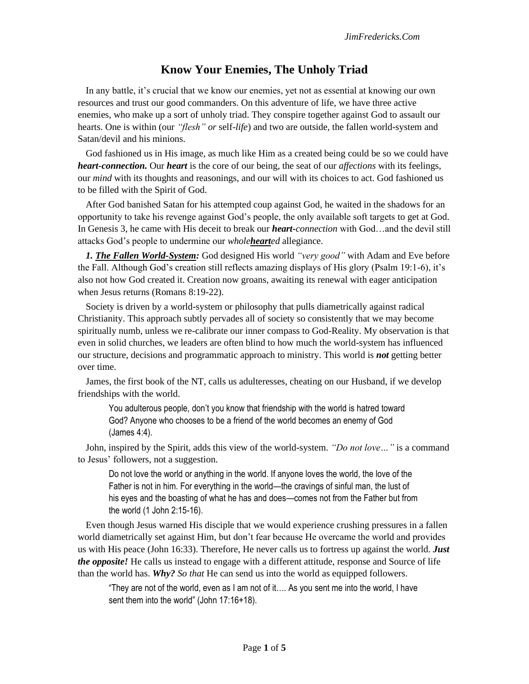# **Know Your Enemies, The Unholy Triad**

In any battle, it's crucial that we know our enemies, yet not as essential at knowing our own resources and trust our good commanders. On this adventure of life, we have three active enemies, who make up a sort of unholy triad. They conspire together against God to assault our hearts. One is within (our *"flesh" or* self-*life*) and two are outside, the fallen world-system and Satan/devil and his minions.

God fashioned us in His image, as much like Him as a created being could be so we could have *heart-connection.* Our *heart* is the core of our being, the seat of our *affections* with its feelings, our *mind* with its thoughts and reasonings, and our will with its choices to act. God fashioned us to be filled with the Spirit of God.

After God banished Satan for his attempted coup against God, he waited in the shadows for an opportunity to take his revenge against God's people, the only available soft targets to get at God. In Genesis 3, he came with His deceit to break our *heart***-***connection* with God…and the devil still attacks God's people to undermine our *wholehearted* allegiance.

*1. The Fallen World-System:* God designed His world *"very good"* with Adam and Eve before the Fall. Although God's creation still reflects amazing displays of His glory (Psalm 19:1-6), it's also not how God created it. Creation now groans, awaiting its renewal with eager anticipation when Jesus returns (Romans 8:19-22).

Society is driven by a world-system or philosophy that pulls diametrically against radical Christianity. This approach subtly pervades all of society so consistently that we may become spiritually numb, unless we re-calibrate our inner compass to God-Reality. My observation is that even in solid churches, we leaders are often blind to how much the world-system has influenced our structure, decisions and programmatic approach to ministry. This world is *not* getting better over time.

James, the first book of the NT, calls us adulteresses, cheating on our Husband, if we develop friendships with the world.

You adulterous people, don't you know that friendship with the world is hatred toward God? Anyone who chooses to be a friend of the world becomes an enemy of God (James 4:4).

John, inspired by the Spirit, adds this view of the world-system. *"Do not love…"* is a command to Jesus' followers, not a suggestion.

Do not love the world or anything in the world. If anyone loves the world, the love of the Father is not in him. For everything in the world—the cravings of sinful man, the lust of his eyes and the boasting of what he has and does—comes not from the Father but from the world (1 John 2:15-16).

Even though Jesus warned His disciple that we would experience crushing pressures in a fallen world diametrically set against Him, but don't fear because He overcame the world and provides us with His peace (John 16:33). Therefore, He never calls us to fortress up against the world. *Just the opposite!* He calls us instead to engage with a different attitude, response and Source of life than the world has. *Why? So that* He can send us into the world as equipped followers.

"They are not of the world, even as I am not of it…. As you sent me into the world, I have sent them into the world" (John 17:16+18).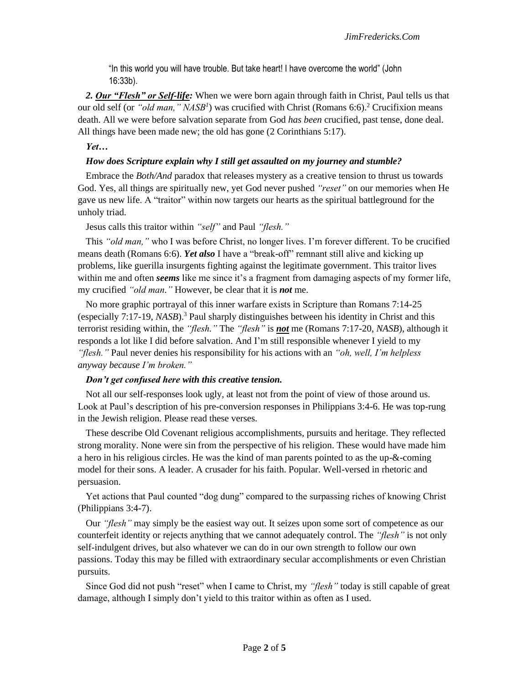"In this world you will have trouble. But take heart! I have overcome the world" (John 16:33b).

*2. Our "Flesh" or Self-life:* When we were born again through faith in Christ, Paul tells us that our old self (or "old man," NASB<sup>1</sup>) was crucified with Christ (Romans 6:6).<sup>2</sup> Crucifixion means death. All we were before salvation separate from God *has been* crucified, past tense, done deal. All things have been made new; the old has gone (2 Corinthians 5:17).

## *Yet…*

## *How does Scripture explain why I still get assaulted on my journey and stumble?*

Embrace the *Both/And* paradox that releases mystery as a creative tension to thrust us towards God. Yes, all things are spiritually new, yet God never pushed *"reset"* on our memories when He gave us new life. A "traitor" within now targets our hearts as the spiritual battleground for the unholy triad.

Jesus calls this traitor within *"self"* and Paul *"flesh."*

This *"old man,"* who I was before Christ, no longer lives. I'm forever different. To be crucified means death (Romans 6:6). *Yet also* I have a "break-off" remnant still alive and kicking up problems, like guerilla insurgents fighting against the legitimate government. This traitor lives within me and often *seems* like me since it's a fragment from damaging aspects of my former life, my crucified *"old man."* However, be clear that it is *not* me.

No more graphic portrayal of this inner warfare exists in Scripture than Romans 7:14-25 (especially 7:17-19, *NASB*).<sup>3</sup> Paul sharply distinguishes between his identity in Christ and this terrorist residing within, the *"flesh."* The *"flesh"* is *not* me (Romans 7:17-20, *NASB*), although it responds a lot like I did before salvation. And I'm still responsible whenever I yield to my *"flesh."* Paul never denies his responsibility for his actions with an *"oh, well, I'm helpless anyway because I'm broken."*

#### *Don't get confused here with this creative tension.*

Not all our self-responses look ugly, at least not from the point of view of those around us. Look at Paul's description of his pre-conversion responses in Philippians 3:4-6. He was top-rung in the Jewish religion. Please read these verses.

These describe Old Covenant religious accomplishments, pursuits and heritage. They reflected strong morality. None were sin from the perspective of his religion. These would have made him a hero in his religious circles. He was the kind of man parents pointed to as the up-&-coming model for their sons. A leader. A crusader for his faith. Popular. Well-versed in rhetoric and persuasion.

Yet actions that Paul counted "dog dung" compared to the surpassing riches of knowing Christ (Philippians 3:4-7).

Our *"flesh"* may simply be the easiest way out. It seizes upon some sort of competence as our counterfeit identity or rejects anything that we cannot adequately control. The *"flesh"* is not only self-indulgent drives, but also whatever we can do in our own strength to follow our own passions. Today this may be filled with extraordinary secular accomplishments or even Christian pursuits.

Since God did not push "reset" when I came to Christ, my *"flesh"* today is still capable of great damage, although I simply don't yield to this traitor within as often as I used.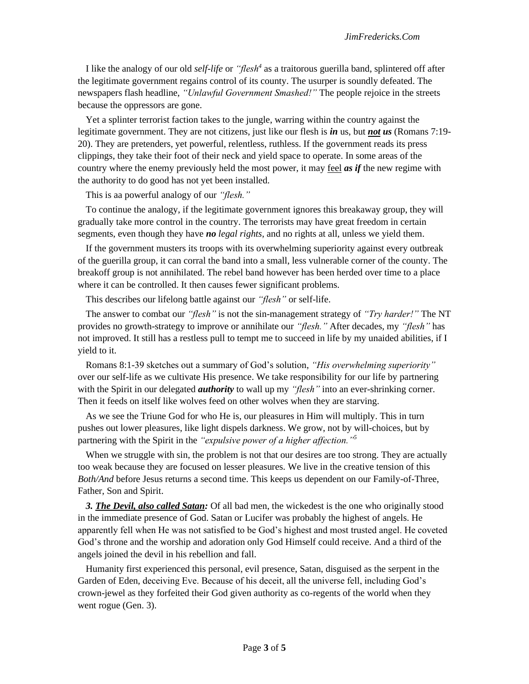I like the analogy of our old *self-life* or *"flesh<sup>4</sup>* as a traitorous guerilla band, splintered off after the legitimate government regains control of its county. The usurper is soundly defeated. The newspapers flash headline, *"Unlawful Government Smashed!"* The people rejoice in the streets because the oppressors are gone.

Yet a splinter terrorist faction takes to the jungle, warring within the country against the legitimate government. They are not citizens, just like our flesh is *in* us, but *not us* (Romans 7:19- 20). They are pretenders, yet powerful, relentless, ruthless. If the government reads its press clippings, they take their foot of their neck and yield space to operate. In some areas of the country where the enemy previously held the most power, it may feel *as if* the new regime with the authority to do good has not yet been installed.

This is aa powerful analogy of our *"flesh."*

To continue the analogy, if the legitimate government ignores this breakaway group, they will gradually take more control in the country. The terrorists may have great freedom in certain segments, even though they have *no legal rights*, and no rights at all, unless we yield them.

If the government musters its troops with its overwhelming superiority against every outbreak of the guerilla group, it can corral the band into a small, less vulnerable corner of the county. The breakoff group is not annihilated. The rebel band however has been herded over time to a place where it can be controlled. It then causes fewer significant problems.

This describes our lifelong battle against our *"flesh"* or self-life.

The answer to combat our *"flesh"* is not the sin-management strategy of *"Try harder!"* The NT provides no growth-strategy to improve or annihilate our *"flesh."* After decades, my *"flesh"* has not improved. It still has a restless pull to tempt me to succeed in life by my unaided abilities, if I yield to it.

Romans 8:1-39 sketches out a summary of God's solution, *"His overwhelming superiority"*  over our self-life as we cultivate His presence. We take responsibility for our life by partnering with the Spirit in our delegated *authority* to wall up my *"flesh"* into an ever-shrinking corner. Then it feeds on itself like wolves feed on other wolves when they are starving.

As we see the Triune God for who He is, our pleasures in Him will multiply. This in turn pushes out lower pleasures, like light dispels darkness. We grow, not by will-choices, but by partnering with the Spirit in the *"expulsive power of a higher affection."<sup>5</sup>*

When we struggle with sin, the problem is not that our desires are too strong. They are actually too weak because they are focused on lesser pleasures. We live in the creative tension of this *Both/And* before Jesus returns a second time. This keeps us dependent on our Family-of-Three, Father, Son and Spirit.

*3. The Devil, also called Satan:* Of all bad men, the wickedest is the one who originally stood in the immediate presence of God. Satan or Lucifer was probably the highest of angels. He apparently fell when He was not satisfied to be God's highest and most trusted angel. He coveted God's throne and the worship and adoration only God Himself could receive. And a third of the angels joined the devil in his rebellion and fall.

Humanity first experienced this personal, evil presence, Satan, disguised as the serpent in the Garden of Eden, deceiving Eve. Because of his deceit, all the universe fell, including God's crown-jewel as they forfeited their God given authority as co-regents of the world when they went rogue (Gen. 3).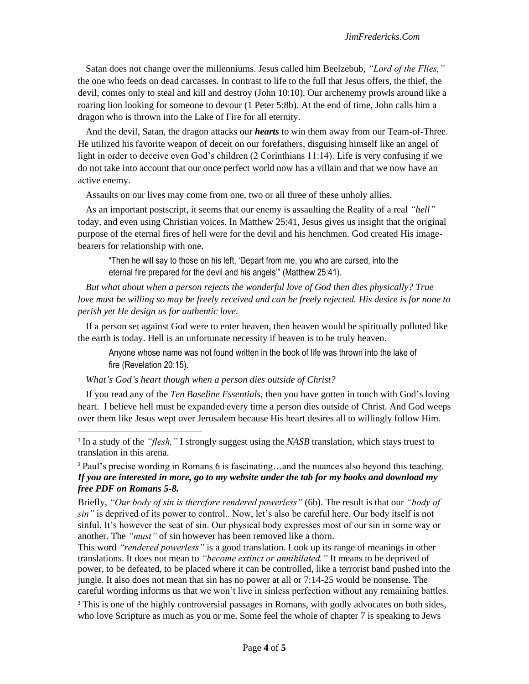Satan does not change over the millenniums. Jesus called him Beelzebub, *"Lord of the Flies,"*  the one who feeds on dead carcasses. In contrast to life to the full that Jesus offers, the thief, the devil, comes only to steal and kill and destroy (John 10:10). Our archenemy prowls around like a roaring lion looking for someone to devour (1 Peter 5:8b). At the end of time, John calls him a dragon who is thrown into the Lake of Fire for all eternity.

And the devil, Satan, the dragon attacks our *hearts* to win them away from our Team-of-Three. He utilized his favorite weapon of deceit on our forefathers, disguising himself like an angel of light in order to deceive even God's children (2 Corinthians 11:14). Life is very confusing if we do not take into account that our once perfect world now has a villain and that we now have an active enemy.

Assaults on our lives may come from one, two or all three of these unholy allies.

As an important postscript, it seems that our enemy is assaulting the Reality of a real *"hell"* today, and even using Christian voices. In Matthew 25:41, Jesus gives us insight that the original purpose of the eternal fires of hell were for the devil and his henchmen. God created His imagebearers for relationship with one.

"Then he will say to those on his left, 'Depart from me, you who are cursed, into the eternal fire prepared for the devil and his angels'" (Matthew 25:41).

*But what about when a person rejects the wonderful love of God then dies physically? True love must be willing so may be freely received and can be freely rejected. His desire is for none to perish yet He design us for authentic love.*

If a person set against God were to enter heaven, then heaven would be spiritually polluted like the earth is today. Hell is an unfortunate necessity if heaven is to be truly heaven.

Anyone whose name was not found written in the book of life was thrown into the lake of fire (Revelation 20:15).

#### *What's God's heart though when a person dies outside of Christ?*

If you read any of the *Ten Baseline Essentials*, then you have gotten in touch with God's loving heart. I believe hell must be expanded every time a person dies outside of Christ. And God weeps over them like Jesus wept over Jerusalem because His heart desires all to willingly follow Him.

<sup>2</sup> Paul's precise wording in Romans 6 is fascinating…and the nuances also beyond this teaching. *If you are interested in more, go to my website under the tab for my books and download my free PDF on Romans 5-8.*

Briefly, *"Our body of sin is therefore rendered powerless"* (6b). The result is that our *"body of sin"* is deprived of its power to control.. Now, let's also be careful here. Our body itself is not sinful. It's however the seat of sin. Our physical body expresses most of our sin in some way or another. The *"must"* of sin however has been removed like a thorn.

This word *"rendered powerless"* is a good translation. Look up its range of meanings in other translations. It does not mean to *"become extinct or annihilated."* It means to be deprived of power, to be defeated, to be placed where it can be controlled, like a terrorist band pushed into the jungle. It also does not mean that sin has no power at all or 7:14-25 would be nonsense. The careful wording informs us that we won't live in sinless perfection without any remaining battles.

<sup>3</sup> This is one of the highly controversial passages in Romans, with godly advocates on both sides, who love Scripture as much as you or me. Some feel the whole of chapter 7 is speaking to Jews

<sup>&</sup>lt;sup>1</sup> In a study of the *"flesh,"* I strongly suggest using the *NASB* translation, which stays truest to translation in this arena.